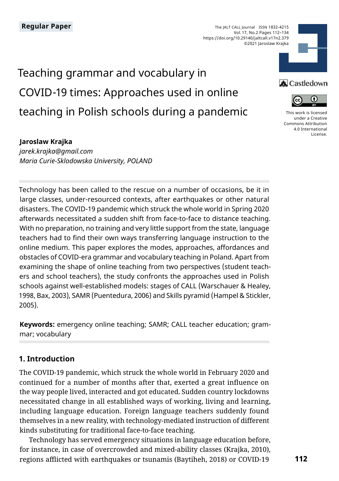The JALT CALL Journal ISSN 1832-4215 Vol. 17, No.2 Pages 112–134 https://doi.org/10.29140/jaltcall.v17n2.379 ©2021 Jaroslaw Krajka

# Teaching grammar and vocabulary in COVID-19 times: Approaches used in online teaching in Polish schools during a pandemic

#### **Jaroslaw Krajka**

*jarek.krajka@gmail.com Maria Curie-Sklodowska University, POLAND*

Technology has been called to the rescue on a number of occasions, be it in large classes, under-resourced contexts, after earthquakes or other natural disasters. The COVID-19 pandemic which struck the whole world in Spring 2020 afterwards necessitated a sudden shift from face-to-face to distance teaching. With no preparation, no training and very little support from the state, language teachers had to find their own ways transferring language instruction to the online medium. This paper explores the modes, approaches, affordances and obstacles of COVID-era grammar and vocabulary teaching in Poland. Apart from examining the shape of online teaching from two perspectives (student teachers and school teachers), the study confronts the approaches used in Polish schools against well-established models: stages of CALL (Warschauer & Healey, 1998, Bax, 2003), SAMR (Puentedura, 2006) and Skills pyramid (Hampel & Stickler, 2005).

**Keywords:** emergency online teaching; SAMR; CALL teacher education; grammar; vocabulary

#### **1. Introduction**

The COVID-19 pandemic, which struck the whole world in February 2020 and continued for a number of months after that, exerted a great influence on the way people lived, interacted and got educated. Sudden country lockdowns necessitated change in all established ways of working, living and learning, including language education. Foreign language teachers suddenly found themselves in a new reality, with technology-mediated instruction of different kinds substituting for traditional face-to-face teaching.

Technology has served emergency situations in language education before, for instance, in case of overcrowded and mixed-ability classes (Krajka, 2010), regions afflicted with earthquakes or tsunamis (Baytiheh, 2018) or COVID-19



#### **A** Castledown



[This work is licensed](https://creativecommons.org/licenses/by/4.0/)  [under a Creative](https://creativecommons.org/licenses/by/4.0/)  [Commons Attribution](https://creativecommons.org/licenses/by/4.0/)  [4.0 International](https://creativecommons.org/licenses/by/4.0/)  [License](https://creativecommons.org/licenses/by/4.0/).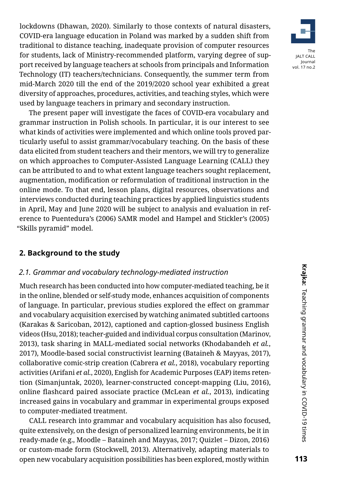lockdowns (Dhawan, 2020). Similarly to those contexts of natural disasters, COVID-era language education in Poland was marked by a sudden shift from traditional to distance teaching, inadequate provision of computer resources for students, lack of Ministry-recommended platform, varying degree of support received by language teachers at schools from principals and Information Technology (IT) teachers/technicians. Consequently, the summer term from mid-March 2020 till the end of the 2019/2020 school year exhibited a great diversity of approaches, procedures, activities, and teaching styles, which were used by language teachers in primary and secondary instruction.

The present paper will investigate the faces of COVID-era vocabulary and grammar instruction in Polish schools. In particular, it is our interest to see what kinds of activities were implemented and which online tools proved particularly useful to assist grammar/vocabulary teaching. On the basis of these data elicited from student teachers and their mentors, we will try to generalize on which approaches to Computer-Assisted Language Learning (CALL) they can be attributed to and to what extent language teachers sought replacement, augmentation, modification or reformulation of traditional instruction in the online mode. To that end, lesson plans, digital resources, observations and interviews conducted during teaching practices by applied linguistics students in April, May and June 2020 will be subject to analysis and evaluation in reference to Puentedura's (2006) SAMR model and Hampel and Stickler's (2005) "Skills pyramid" model.

# **2. Background to the study**

### *2.1. Grammar and vocabulary technology-mediated instruction*

Much research has been conducted into how computer-mediated teaching, be it in the online, blended or self-study mode, enhances acquisition of components of language. In particular, previous studies explored the effect on grammar and vocabulary acquisition exercised by watching animated subtitled cartoons (Karakas & Saricoban, 2012), captioned and caption-glossed business English videos (Hsu, 2018); teacher-guided and individual corpus consultation (Marinov, 2013), task sharing in MALL-mediated social networks (Khodabandeh *et al.*, 2017), Moodle-based social constructivist learning (Bataineh & Mayyas, 2017), collaborative comic-strip creation (Cabrera *et al.*, 2018), vocabulary reporting activities (Arifani *et al.*, 2020), English for Academic Purposes (EAP) items retention (Simanjuntak, 2020), learner-constructed concept-mapping (Liu, 2016), online flashcard paired associate practice (McLean *et al.*, 2013), indicating increased gains in vocabulary and grammar in experimental groups exposed to computer-mediated treatment.

CALL research into grammar and vocabulary acquisition has also focused, quite extensively, on the design of personalized learning environments, be it in ready-made (e.g., Moodle – Bataineh and Mayyas, 2017; Quizlet – Dizon, 2016) or custom-made form (Stockwell, 2013). Alternatively, adapting materials to open new vocabulary acquisition possibilities has been explored, mostly within

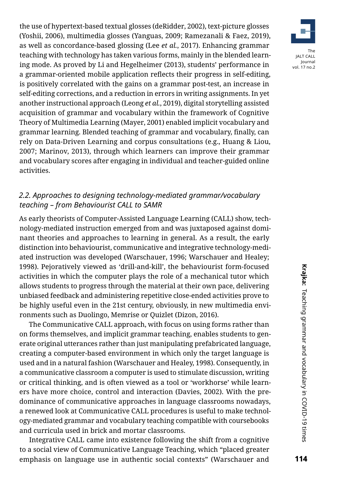the use of hypertext-based textual glosses (deRidder, 2002), text-picture glosses (Yoshii, 2006), multimedia glosses (Yanguas, 2009; Ramezanali & Faez, 2019), as well as concordance-based glossing (Lee *et al.*, 2017). Enhancing grammar teaching with technology has taken various forms, mainly in the blended learning mode. As proved by Li and Hegelheimer (2013), students' performance in a grammar-oriented mobile application reflects their progress in self-editing, is positively correlated with the gains on a grammar post-test, an increase in self-editing corrections, and a reduction in errors in writing assignments. In yet another instructional approach (Leong *et al.*, 2019), digital storytelling assisted acquisition of grammar and vocabulary within the framework of Cognitive Theory of Multimedia Learning (Mayer, 2001) enabled implicit vocabulary and grammar learning. Blended teaching of grammar and vocabulary, finally, can rely on Data-Driven Learning and corpus consultations (e.g., Huang & Liou, 2007; Marinov, 2013), through which learners can improve their grammar and vocabulary scores after engaging in individual and teacher-guided online activities.

# *2.2. Approaches to designing technology-mediated grammar/vocabulary teaching – from Behaviourist CALL to SAMR*

As early theorists of Computer-Assisted Language Learning (CALL) show, technology-mediated instruction emerged from and was juxtaposed against dominant theories and approaches to learning in general. As a result, the early distinction into behaviourist, communicative and integrative technology-mediated instruction was developed (Warschauer, 1996; Warschauer and Healey; 1998). Pejoratively viewed as 'drill-and-kill', the behaviourist form-focused activities in which the computer plays the role of a mechanical tutor which allows students to progress through the material at their own pace, delivering unbiased feedback and administering repetitive close-ended activities prove to be highly useful even in the 21st century, obviously, in new multimedia environments such as Duolingo, Memrise or Quizlet (Dizon, 2016).

The Communicative CALL approach, with focus on using forms rather than on forms themselves, and implicit grammar teaching, enables students to generate original utterances rather than just manipulating prefabricated language, creating a computer-based environment in which only the target language is used and in a natural fashion (Warschauer and Healey, 1998). Consequently, in a communicative classroom a computer is used to stimulate discussion, writing or critical thinking, and is often viewed as a tool or 'workhorse' while learners have more choice, control and interaction (Davies, 2002). With the predominance of communicative approaches in language classrooms nowadays, a renewed look at Communicative CALL procedures is useful to make technology-mediated grammar and vocabulary teaching compatible with coursebooks and curricula used in brick and mortar classrooms.

Integrative CALL came into existence following the shift from a cognitive to a social view of Communicative Language Teaching, which "placed greater emphasis on language use in authentic social contexts" (Warschauer and

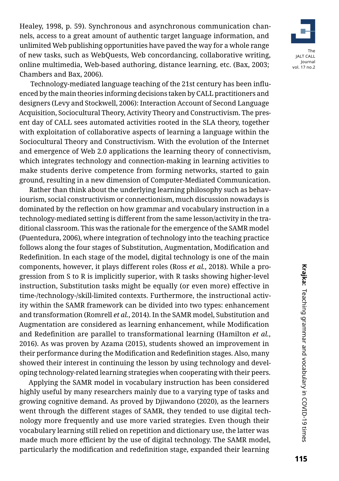Healey, 1998, p. 59). Synchronous and asynchronous communication channels, access to a great amount of authentic target language information, and unlimited Web publishing opportunities have paved the way for a whole range of new tasks, such as WebQuests, Web concordancing, collaborative writing, online multimedia, Web-based authoring, distance learning, etc. (Bax, 2003; Chambers and Bax, 2006).

 Technology-mediated language teaching of the 21st century has been influenced by the main theories informing decisions taken by CALL practitioners and designers (Levy and Stockwell, 2006): Interaction Account of Second Language Acquisition, Sociocultural Theory, Activity Theory and Constructivism. The present day of CALL sees automated activities rooted in the SLA theory, together with exploitation of collaborative aspects of learning a language within the Sociocultural Theory and Constructivism. With the evolution of the Internet and emergence of Web 2.0 applications the learning theory of connectivism, which integrates technology and connection-making in learning activities to make students derive competence from forming networks, started to gain ground, resulting in a new dimension of Computer-Mediated Communication.

Rather than think about the underlying learning philosophy such as behaviourism, social constructivism or connectionism, much discussion nowadays is dominated by the reflection on how grammar and vocabulary instruction in a technology-mediated setting is different from the same lesson/activity in the traditional classroom. This was the rationale for the emergence of the SAMR model (Puentedura, 2006), where integration of technology into the teaching practice follows along the four stages of Substitution, Augmentation, Modification and Redefinition. In each stage of the model, digital technology is one of the main components, however, it plays different roles (Ross *et al.*, 2018). While a progression from S to R is implicitly superior, with R tasks showing higher-level instruction, Substitution tasks might be equally (or even more) effective in time-/technology-/skill-limited contexts. Furthermore, the instructional activity within the SAMR framework can be divided into two types: enhancement and transformation (Romrell *et al.*, 2014). In the SAMR model, Substitution and Augmentation are considered as learning enhancement, while Modification and Redefinition are parallel to transformational learning (Hamilton *et al.*, 2016). As was proven by Azama (2015), students showed an improvement in their performance during the Modification and Redefinition stages. Also, many showed their interest in continuing the lesson by using technology and developing technology-related learning strategies when cooperating with their peers.

Applying the SAMR model in vocabulary instruction has been considered highly useful by many researchers mainly due to a varying type of tasks and growing cognitive demand. As proved by Djiwandono (2020), as the learners went through the different stages of SAMR, they tended to use digital technology more frequently and use more varied strategies. Even though their vocabulary learning still relied on repetition and dictionary use, the latter was made much more efficient by the use of digital technology. The SAMR model, particularly the modification and redefinition stage, expanded their learning

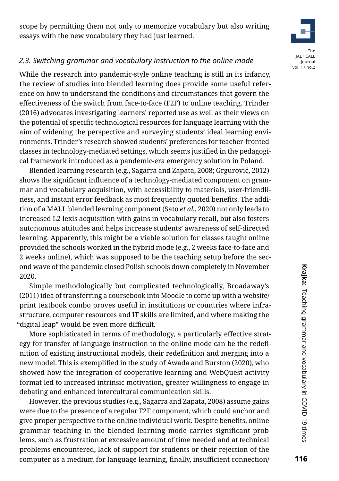scope by permitting them not only to memorize vocabulary but also writing essays with the new vocabulary they had just learned.



# *2.3. Switching grammar and vocabulary instruction to the online mode*

While the research into pandemic-style online teaching is still in its infancy, the review of studies into blended learning does provide some useful reference on how to understand the conditions and circumstances that govern the effectiveness of the switch from face-to-face (F2F) to online teaching. Trinder (2016) advocates investigating learners' reported use as well as their views on the potential of specific technological resources for language learning with the aim of widening the perspective and surveying students' ideal learning environments. Trinder's research showed students' preferences for teacher-fronted classes in technology-mediated settings, which seems justified in the pedagogical framework introduced as a pandemic-era emergency solution in Poland.

Blended learning research (e.g., Sagarra and Zapata, 2008; Grgurović, 2012) shows the significant influence of a technology-mediated component on grammar and vocabulary acquisition, with accessibility to materials, user-friendliness, and instant error feedback as most frequently quoted benefits. The addition of a MALL blended learning component (Sato *et al.*, 2020) not only leads to increased L2 lexis acquisition with gains in vocabulary recall, but also fosters autonomous attitudes and helps increase students' awareness of self-directed learning. Apparently, this might be a viable solution for classes taught online provided the schools worked in the hybrid mode (e.g., 2 weeks face-to-face and 2 weeks online), which was supposed to be the teaching setup before the second wave of the pandemic closed Polish schools down completely in November 2020.

Simple methodologically but complicated technologically, Broadaway's (2011) idea of transferring a coursebook into Moodle to come up with a website/ print textbook combo proves useful in institutions or countries where infrastructure, computer resources and IT skills are limited, and where making the "digital leap" would be even more difficult.

More sophisticated in terms of methodology, a particularly effective strategy for transfer of language instruction to the online mode can be the redefinition of existing instructional models, their redefinition and merging into a new model. This is exemplified in the study of Awada and Burston (2020), who showed how the integration of cooperative learning and WebQuest activity format led to increased intrinsic motivation, greater willingness to engage in debating and enhanced intercultural communication skills.

However, the previous studies (e.g., Sagarra and Zapata, 2008) assume gains were due to the presence of a regular F2F component, which could anchor and give proper perspective to the online individual work. Despite benefits, online grammar teaching in the blended learning mode carries significant problems, such as frustration at excessive amount of time needed and at technical problems encountered, lack of support for students or their rejection of the computer as a medium for language learning, finally, insufficient connection/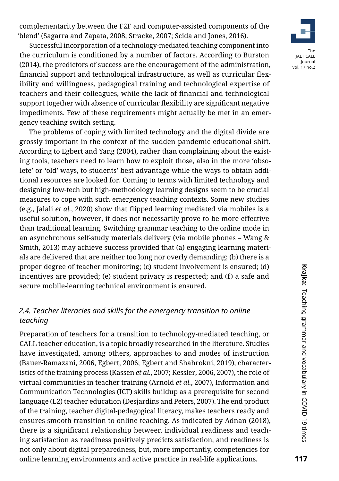complementarity between the F2F and computer-assisted components of the 'blend' (Sagarra and Zapata, 2008; Stracke, 2007; Scida and Jones, 2016).

Successful incorporation of a technology-mediated teaching component into the curriculum is conditioned by a number of factors. According to Burston (2014), the predictors of success are the encouragement of the administration, financial support and technological infrastructure, as well as curricular flexibility and willingness, pedagogical training and technological expertise of teachers and their colleagues, while the lack of financial and technological support together with absence of curricular flexibility are significant negative impediments. Few of these requirements might actually be met in an emergency teaching switch setting.

The problems of coping with limited technology and the digital divide are grossly important in the context of the sudden pandemic educational shift. According to Egbert and Yang (2004), rather than complaining about the existing tools, teachers need to learn how to exploit those, also in the more 'obsolete' or 'old' ways, to students' best advantage while the ways to obtain additional resources are looked for. Coming to terms with limited technology and designing low-tech but high-methodology learning designs seem to be crucial measures to cope with such emergency teaching contexts. Some new studies (e.g., Jalali *et al.*, 2020) show that flipped learning mediated via mobiles is a useful solution, however, it does not necessarily prove to be more effective than traditional learning. Switching grammar teaching to the online mode in an asynchronous self-study materials delivery (via mobile phones – Wang & Smith, 2013) may achieve success provided that (a) engaging learning materials are delivered that are neither too long nor overly demanding; (b) there is a proper degree of teacher monitoring; (c) student involvement is ensured; (d) incentives are provided; (e) student privacy is respected; and (f) a safe and secure mobile-learning technical environment is ensured.

# *2.4. Teacher literacies and skills for the emergency transition to online teaching*

Preparation of teachers for a transition to technology-mediated teaching, or CALL teacher education, is a topic broadly researched in the literature. Studies have investigated, among others, approaches to and modes of instruction (Bauer-Ramazani, 2006, Egbert, 2006; Egbert and Shahrokni, 2019), characteristics of the training process (Kassen *et al.*, 2007; Kessler, 2006, 2007), the role of virtual communities in teacher training (Arnold *et al.*, 2007), Information and Communication Technologies (ICT) skills buildup as a prerequisite for second language (L2) teacher education (Desjardins and Peters, 2007). The end product of the training, teacher digital-pedagogical literacy, makes teachers ready and ensures smooth transition to online teaching. As indicated by Adnan (2018), there is a significant relationship between individual readiness and teaching satisfaction as readiness positively predicts satisfaction, and readiness is not only about digital preparedness, but, more importantly, competencies for online learning environments and active practice in real-life applications.

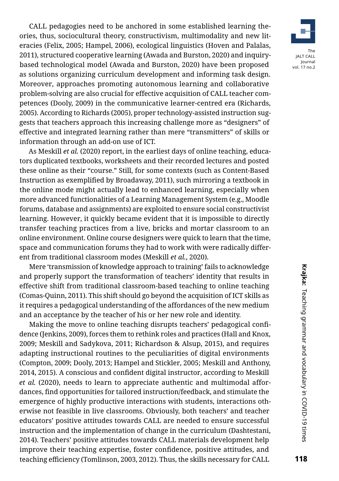CALL pedagogies need to be anchored in some established learning theories, thus, sociocultural theory, constructivism, multimodality and new literacies (Felix, 2005; Hampel, 2006), ecological linguistics (Hoven and Palalas, 2011), structured cooperative learning (Awada and Burston, 2020) and inquirybased technological model (Awada and Burston, 2020) have been proposed as solutions organizing curriculum development and informing task design. Moreover, approaches promoting autonomous learning and collaborative problem-solving are also crucial for effective acquisition of CALL teacher competences (Dooly, 2009) in the communicative learner-centred era (Richards, 2005). According to Richards (2005), proper technology-assisted instruction suggests that teachers approach this increasing challenge more as "designers" of effective and integrated learning rather than mere "transmitters" of skills or information through an add-on use of ICT.

As Meskill *et al.* (2020) report, in the earliest days of online teaching, educators duplicated textbooks, worksheets and their recorded lectures and posted these online as their "course." Still, for some contexts (such as Content-Based Instruction as exemplified by Broadaway, 2011), such mirroring a textbook in the online mode might actually lead to enhanced learning, especially when more advanced functionalities of a Learning Management System (e.g., Moodle forums, database and assignments) are exploited to ensure social constructivist learning. However, it quickly became evident that it is impossible to directly transfer teaching practices from a live, bricks and mortar classroom to an online environment. Online course designers were quick to learn that the time, space and communication forums they had to work with were radically different from traditional classroom modes (Meskill *et al.*, 2020).

Mere 'transmission of knowledge approach to training' fails to acknowledge and properly support the transformation of teachers' identity that results in effective shift from traditional classroom-based teaching to online teaching (Comas-Quinn, 2011). This shift should go beyond the acquisition of ICT skills as it requires a pedagogical understanding of the affordances of the new medium and an acceptance by the teacher of his or her new role and identity.

Making the move to online teaching disrupts teachers' pedagogical confidence (Jenkins, 2009), forces them to rethink roles and practices (Hall and Knox, 2009; Meskill and Sadykova, 2011; Richardson & Alsup, 2015), and requires adapting instructional routines to the peculiarities of digital environments (Compton, 2009; Dooly, 2013; Hampel and Stickler, 2005; Meskill and Anthony, 2014, 2015). A conscious and confident digital instructor, according to Meskill *et al.* (2020), needs to learn to appreciate authentic and multimodal affordances, find opportunities for tailored instruction/feedback, and stimulate the emergence of highly productive interactions with students, interactions otherwise not feasible in live classrooms. Obviously, both teachers' and teacher educators' positive attitudes towards CALL are needed to ensure successful instruction and the implementation of change in the curriculum (Dashtestani, 2014). Teachers' positive attitudes towards CALL materials development help improve their teaching expertise, foster confidence, positive attitudes, and teaching efficiency (Tomlinson, 2003, 2012). Thus, the skills necessary for CALL

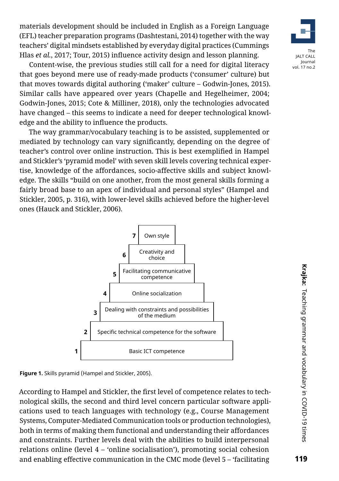materials development should be included in English as a Foreign Language (EFL) teacher preparation programs (Dashtestani, 2014) together with the way teachers' digital mindsets established by everyday digital practices (Cummings Hlas *et al.*, 2017; Tour, 2015) influence activity design and lesson planning.



Content-wise, the previous studies still call for a need for digital literacy that goes beyond mere use of ready-made products ('consumer' culture) but that moves towards digital authoring ('maker' culture – Godwin-Jones, 2015). Similar calls have appeared over years (Chapelle and Hegelheimer, 2004; Godwin-Jones, 2015; Cote & Milliner, 2018), only the technologies advocated have changed – this seems to indicate a need for deeper technological knowledge and the ability to influence the products.

The way grammar/vocabulary teaching is to be assisted, supplemented or mediated by technology can vary significantly, depending on the degree of teacher's control over online instruction. This is best exemplified in Hampel and Stickler's 'pyramid model' with seven skill levels covering technical expertise, knowledge of the affordances, socio-affective skills and subject knowledge. The skills "build on one another, from the most general skills forming a fairly broad base to an apex of individual and personal styles" (Hampel and Stickler, 2005, p. 316), with lower-level skills achieved before the higher-level ones (Hauck and Stickler, 2006).



**Figure 1.** Skills pyramid (Hampel and Stickler, 2005).

According to Hampel and Stickler, the first level of competence relates to technological skills, the second and third level concern particular software applications used to teach languages with technology (e.g., Course Management Systems, Computer-Mediated Communication tools or production technologies), both in terms of making them functional and understanding their affordances and constraints. Further levels deal with the abilities to build interpersonal relations online (level  $4 - \text{'online socialisation'}$ ), promoting social cohesion and enabling effective communication in the CMC mode (level 5 – 'facilitating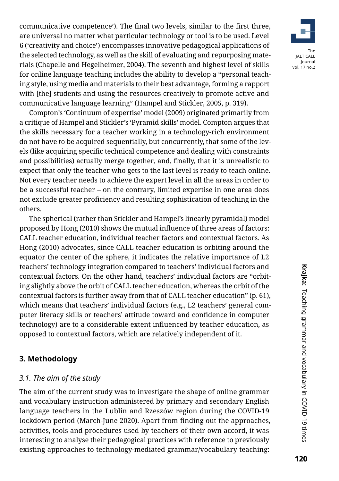communicative competence'). The final two levels, similar to the first three, are universal no matter what particular technology or tool is to be used. Level 6 ('creativity and choice') encompasses innovative pedagogical applications of the selected technology, as well as the skill of evaluating and repurposing materials (Chapelle and Hegelheimer, 2004). The seventh and highest level of skills for online language teaching includes the ability to develop a "personal teaching style, using media and materials to their best advantage, forming a rapport with [the] students and using the resources creatively to promote active and communicative language learning" (Hampel and Stickler, 2005, p. 319).

Compton's 'Continuum of expertise' model (2009) originated primarily from a critique of Hampel and Stickler's 'Pyramid skills' model. Compton argues that the skills necessary for a teacher working in a technology-rich environment do not have to be acquired sequentially, but concurrently, that some of the levels (like acquiring specific technical competence and dealing with constraints and possibilities) actually merge together, and, finally, that it is unrealistic to expect that only the teacher who gets to the last level is ready to teach online. Not every teacher needs to achieve the expert level in all the areas in order to be a successful teacher – on the contrary, limited expertise in one area does not exclude greater proficiency and resulting sophistication of teaching in the others.

The spherical (rather than Stickler and Hampel's linearly pyramidal) model proposed by Hong (2010) shows the mutual influence of three areas of factors: CALL teacher education, individual teacher factors and contextual factors. As Hong (2010) advocates, since CALL teacher education is orbiting around the equator the center of the sphere, it indicates the relative importance of L2 teachers' technology integration compared to teachers' individual factors and contextual factors. On the other hand, teachers' individual factors are "orbiting slightly above the orbit of CALL teacher education, whereas the orbit of the contextual factors is further away from that of CALL teacher education" (p. 61), which means that teachers' individual factors (e.g., L2 teachers' general computer literacy skills or teachers' attitude toward and confidence in computer technology) are to a considerable extent influenced by teacher education, as opposed to contextual factors, which are relatively independent of it.

#### **3. Methodology**

#### *[3.1. The aim of the study](https://www.classcraft.com/)*

The aim of the current study was to investigate the shape of online grammar and vocabulary instruction administered by primary and secondary English language teachers in the Lublin and Rzeszów region during the COVID-19 lockdown period (March-June 2020). Apart from finding out the approaches, activities, tools and procedures used by teachers of their own accord, it was interesting to analyse their pedagogical practices with reference to previously existing approaches to technology-mediated grammar/vocabulary teaching:

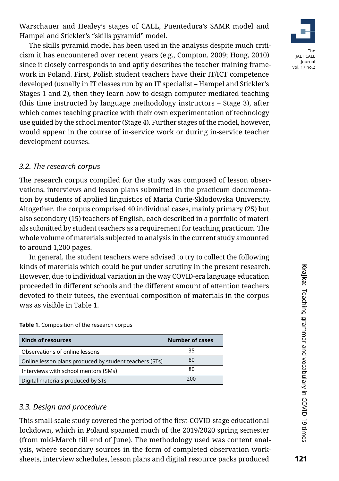121

Warschauer and Healey's stages of CALL, Puentedura's SAMR model and Hampel and Stickler's "skills pyramid" model.

The skills pyramid model has been used in the analysis despite much criticism it has encountered over recent years (e.g., Compton, 2009; Hong, 2010) since it closely corresponds to and aptly describes the teacher training framework in Poland. First, Polish student teachers have their IT/ICT competence developed (usually in IT classes run by an IT specialist – Hampel and Stickler's Stages 1 and 2), then they learn how to design computer-mediated teaching (this time instructed by language methodology instructors – Stage 3), after which comes teaching practice with their own experimentation of technology use guided by the school mentor (Stage 4). Further stages of the model, however, would appear in the course of in-service work or during in-service teacher development courses.

# *[3.2. The research c](https://www.classcraft.com/)orpus*

[The research corpus compiled for the study was c](https://www.classcraft.com/)omposed of lesson observations, interviews and lesson plans submitted in the practicum documentation by students of applied linguistics of Maria Curie-Skłodowska University. Altogether, the corpus comprised 40 individual cases, mainly primary (25) but also secondary (15) teachers of English, each described in a portfolio of materials submitted by student teachers as a requirement for teaching practicum. The whole volume of materials subjected to analysis in the current study amounted to around 1,200 pages.

In general, the student teachers were advised to try to collect the following kinds of materials which could be put under scrutiny in the present research. However, due to individual variation in the way COVID-era language education proceeded in different schools and the different amount of attention teachers devoted to their tutees, the eventual composition of materials in the corpus was as visible in Table 1.

**Kinds of resources Number of cases**

Observations of online lessons 35 Online lesson plans produced by student teachers (STs) 80 Interviews with school mentors (SMs) 80 Digital materials produced by STs 200

|  | 3.3. Design and procedure |  |
|--|---------------------------|--|
|  |                           |  |

[This small-scale study covered the period of the first-COVID-stage educational](https://www.classcraft.com/) [lockdown, which in Poland spanned much of the 2019/2020 spring semester](https://www.classcraft.com/)  [\(from mid-March till end of June\). T](https://www.classcraft.com/)he methodology used was content analysis, where secondary sources in the form of completed observation worksheets, interview schedules, lesson plans and digital resource packs produced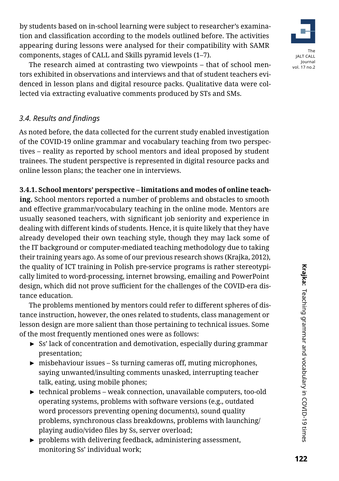by students based on in-school learning were subject to researcher's examination and classification according to the models outlined before. The activities appearing during lessons were analysed for their compatibility with SAMR components, stages of CALL and Skills pyramid levels (1–7).



The research aimed at contrasting two viewpoints – that of school mentors exhibited in observations and interviews and that of student teachers evidenced in lesson plans and digital resource packs. Qualitative data were collected via extracting evaluative comments produced by STs and SMs.

# *3.4. Results and findings*

As noted before, the data collected for the current study enabled investigation of the COVID-19 online grammar and vocabulary teaching from two perspectives – reality as reported by school mentors and ideal proposed by student trainees. The student perspective is represented in digital resource packs and online lesson plans; the teacher one in interviews.

# **3.4.1. School mentors' perspective – limitations and modes of online teach-**

**ing.** School mentors reported a number of problems and obstacles to smooth and effective grammar/vocabulary teaching in the online mode. Mentors are usually seasoned teachers, with significant job seniority and experience in dealing with different kinds of students. Hence, it is quite likely that they have already developed their own teaching style, though they may lack some of the IT background or computer-mediated teaching methodology due to taking their training years ago. As some of our previous research shows (Krajka, 2012), the quality of ICT training in Polish pre-service programs is rather stereotypically limited to word-processing, internet browsing, emailing and PowerPoint design, which did not prove sufficient for the challenges of the COVID-era distance education.

The problems mentioned by mentors could refer to different spheres of distance instruction, however, the ones related to students, class management or lesson design are more salient than those pertaining to technical issues. Some of the most frequently mentioned ones were as follows:

- ► Ss' lack of concentration and demotivation, especially during grammar presentation;
- ► misbehaviour issues Ss turning cameras off, muting microphones, saying unwanted/insulting comments unasked, interrupting teacher talk, eating, using mobile phones;
- ► technical problems weak connection, unavailable computers, too-old operating systems, problems with software versions (e.g., outdated word processors preventing opening documents), sound quality problems, synchronous class breakdowns, problems with launching/ playing audio/video files by Ss, server overload;
- ► problems with delivering feedback, administering assessment, monitoring Ss' individual work;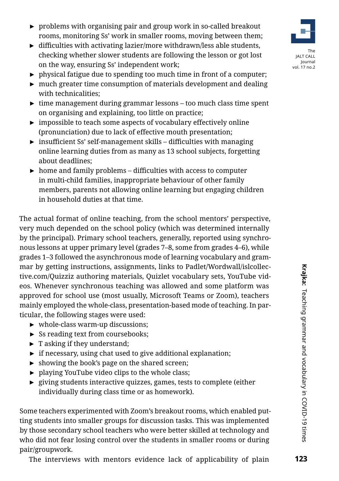- ► problems with organising pair and group work in so-called breakout rooms, monitoring Ss' work in smaller rooms, moving between them;
- ► difficulties with activating lazier/more withdrawn/less able students, checking whether slower students are following the lesson or got lost on the way, ensuring Ss' independent work;
- $\triangleright$  physical fatigue due to spending too much time in front of a computer;
- $\triangleright$  much greater time consumption of materials development and dealing with technicalities;
- ► time management during grammar lessons too much class time spent on organising and explaining, too little on practice;
- ► impossible to teach some aspects of vocabulary effectively online (pronunciation) due to lack of effective mouth presentation;
- ► insufficient Ss' self-management skills difficulties with managing online learning duties from as many as 13 school subjects, forgetting about deadlines;
- $\triangleright$  home and family problems difficulties with access to computer in multi-child families, inappropriate behaviour of other family members, parents not allowing online learning but engaging children in household duties at that time.

The actual format of online teaching, from the school mentors' perspective, very much depended on the school policy (which was determined internally by the principal). Primary school teachers, generally, reported using synchronous lessons at upper primary level (grades 7–8, some from grades 4–6), while grades 1–3 followed the asynchronous mode of learning vocabulary and grammar by getting instructions, assignments, links to Padlet/Wordwall/islcollective.com/Quizziz authoring materials, Quizlet vocabulary sets, YouTube videos. Whenever synchronous teaching was allowed and some platform was approved for school use (most usually, Microsoft Teams or Zoom), teachers mainly employed the whole-class, presentation-based mode of teaching. In particular, the following stages were used:

- ► whole-class warm-up discussions;
- ► Ss reading text from coursebooks;
- $\blacktriangleright$  T asking if they understand;
- $\triangleright$  if necessary, using chat used to give additional explanation;
- $\triangleright$  showing the book's page on the shared screen;
- ► playing YouTube video clips to the whole class;
- ► giving students interactive quizzes, games, tests to complete (either individually during class time or as homework).

Some teachers experimented with Zoom's breakout rooms, which enabled putting students into smaller groups for discussion tasks. This was implemented by those secondary school teachers who were better skilled at technology and who did not fear losing control over the students in smaller rooms or during pair/groupwork.

vol. 17 no.2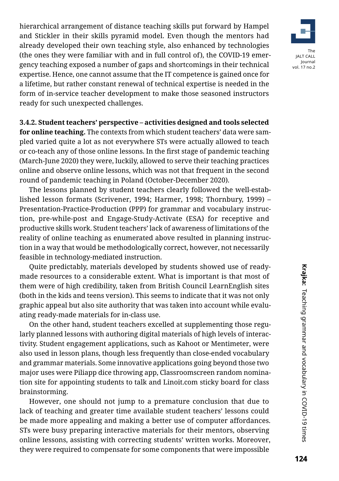hierarchical arrangement of distance teaching skills put forward by Hampel and Stickler in their skills pyramid model. Even though the mentors had already developed their own teaching style, also enhanced by technologies (the ones they were familiar with and in full control of), the COVID-19 emergency teaching exposed a number of gaps and shortcomings in their technical expertise. Hence, one cannot assume that the IT competence is gained once for a lifetime, but rather constant renewal of technical expertise is needed in the form of in-service teacher development to make those seasoned instructors ready for such unexpected challenges.

**3.4.2. Student teachers' perspective – activities designed and tools selected for online teaching.** The contexts from which student teachers' data were sampled varied quite a lot as not everywhere STs were actually allowed to teach or co-teach any of those online lessons. In the first stage of pandemic teaching (March-June 2020) they were, luckily, allowed to serve their teaching practices online and observe online lessons, which was not that frequent in the second round of pandemic teaching in Poland (October-December 2020).

The lessons planned by student teachers clearly followed the well-established lesson formats (Scrivener, 1994; Harmer, 1998; Thornbury, 1999) – Presentation-Practice-Production (PPP) for grammar and vocabulary instruction, pre-while-post and Engage-Study-Activate (ESA) for receptive and productive skills work. Student teachers' lack of awareness of limitations of the reality of online teaching as enumerated above resulted in planning instruction in a way that would be methodologically correct, however, not necessarily feasible in technology-mediated instruction.

Quite predictably, materials developed by students showed use of readymade resources to a considerable extent. What is important is that most of them were of high credibility, taken from British Council LearnEnglish sites (both in the kids and teens version). This seems to indicate that it was not only graphic appeal but also site authority that was taken into account while evaluating ready-made materials for in-class use.

On the other hand, student teachers excelled at supplementing those regularly planned lessons with authoring digital materials of high levels of interactivity. Student engagement applications, such as Kahoot or Mentimeter, were also used in lesson plans, though less frequently than close-ended vocabulary and grammar materials. Some innovative applications going beyond those two major uses were Piliapp dice throwing app, Classroomscreen random nomination site for appointing students to talk and Linoit.com sticky board for class brainstorming.

However, one should not jump to a premature conclusion that due to lack of teaching and greater time available student teachers' lessons could be made more appealing and making a better use of computer affordances. STs were busy preparing interactive materials for their mentors, observing online lessons, assisting with correcting students' written works. Moreover, they were required to compensate for some components that were impossible

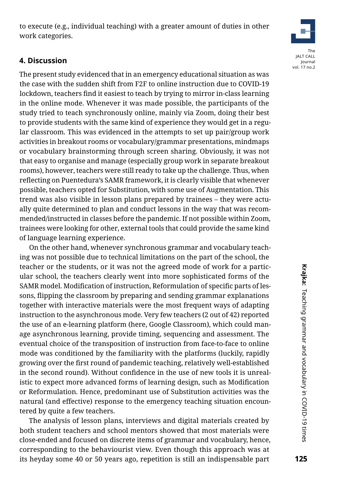125

to execute (e.g., individual teaching) with a greater amount of duties in other work categories.

### **4. Discussion**

The present study evidenced that in an emergency educational situation as was the case with the sudden shift from F2F to online instruction due to COVID-19 lockdown, teachers find it easiest to teach by trying to mirror in-class learning in the online mode. Whenever it was made possible, the participants of the study tried to teach synchronously online, mainly via Zoom, doing their best to provide students with the same kind of experience they would get in a regular classroom. This was evidenced in the attempts to set up pair/group work activities in breakout rooms or vocabulary/grammar presentations, mindmaps or vocabulary brainstorming through screen sharing. Obviously, it was not that easy to organise and manage (especially group work in separate breakout rooms), however, teachers were still ready to take up the challenge. Thus, when reflecting on Puentedura's SAMR framework, it is clearly visible that whenever possible, teachers opted for Substitution, with some use of Augmentation. This trend was also visible in lesson plans prepared by trainees – they were actually quite determined to plan and conduct lessons in the way that was recommended/instructed in classes before the pandemic. If not possible within Zoom, trainees were looking for other, external tools that could provide the same kind of language learning experience.

On the other hand, whenever synchronous grammar and vocabulary teaching was not possible due to technical limitations on the part of the school, the teacher or the students, or it was not the agreed mode of work for a particular school, the teachers clearly went into more sophisticated forms of the SAMR model. Modification of instruction, Reformulation of specific parts of lessons, flipping the classroom by preparing and sending grammar explanations together with interactive materials were the most frequent ways of adapting instruction to the asynchronous mode. Very few teachers (2 out of 42) reported the use of an e-learning platform (here, Google Classroom), which could manage asynchronous learning, provide timing, sequencing and assessment. The eventual choice of the transposition of instruction from face-to-face to online mode was conditioned by the familiarity with the platforms (luckily, rapidly growing over the first round of pandemic teaching, relatively well-established in the second round). Without confidence in the use of new tools it is unrealistic to expect more advanced forms of learning design, such as Modification or Reformulation. Hence, predominant use of Substitution activities was the natural (and effective) response to the emergency teaching situation encountered by quite a few teachers.

The analysis of lesson plans, interviews and digital materials created by both student teachers and school mentors showed that most materials were close-ended and focused on discrete items of grammar and vocabulary, hence, corresponding to the behaviourist view. Even though this approach was at its heyday some 40 or 50 years ago, repetition is still an indispensable part

# The JALT CALL Journal vol. 17 no.2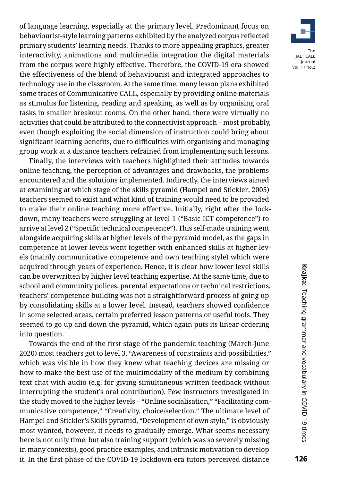of language learning, especially at the primary level. Predominant focus on behaviourist-style learning patterns exhibited by the analyzed corpus reflected primary students' learning needs. Thanks to more appealing graphics, greater interactivity, animations and multimedia integration the digital materials from the corpus were highly effective. Therefore, the COVID-19 era showed the effectiveness of the blend of behaviourist and integrated approaches to technology use in the classroom. At the same time, many lesson plans exhibited some traces of Communicative CALL, especially by providing online materials as stimulus for listening, reading and speaking, as well as by organising oral tasks in smaller breakout rooms. On the other hand, there were virtually no activities that could be attributed to the connectivist approach – most probably, even though exploiting the social dimension of instruction could bring about significant learning benefits, due to difficulties with organising and managing group work at a distance teachers refrained from implementing such lessons.

Finally, the interviews with teachers highlighted their attitudes towards online teaching, the perception of advantages and drawbacks, the problems encountered and the solutions implemented. Indirectly, the interviews aimed at examining at which stage of the skills pyramid (Hampel and Stickler, 2005) teachers seemed to exist and what kind of training would need to be provided to make their online teaching more effective. Initially, right after the lockdown, many teachers were struggling at level 1 ("Basic ICT competence") to arrive at level 2 ("Specific technical competence"). This self-made training went alongside acquiring skills at higher levels of the pyramid model, as the gaps in competence at lower levels went together with enhanced skills at higher levels (mainly communicative competence and own teaching style) which were acquired through years of experience. Hence, it is clear how lower level skills can be overwritten by higher level teaching expertise. At the same time, due to school and community polices, parental expectations or technical restrictions, teachers' competence building was not a straightforward process of going up by consolidating skills at a lower level. Instead, teachers showed confidence in some selected areas, certain preferred lesson patterns or useful tools. They seemed to go up and down the pyramid, which again puts its linear ordering into question.

Towards the end of the first stage of the pandemic teaching (March-June 2020) most teachers got to level 3, "Awareness of constraints and possibilities," which was visible in how they knew what teaching devices are missing or how to make the best use of the multimodality of the medium by combining text chat with audio (e.g. for giving simultaneous written feedback without interrupting the student's oral contribution). Few instructors investigated in the study moved to the higher levels – "Online socialisation," "Facilitating communicative competence," "Creativity, choice/selection." The ultimate level of Hampel and Stickler's Skills pyramid, "Development of own style," is obviously most wanted, however, it needs to gradually emerge. What seems necessary here is not only time, but also training support (which was so severely missing in many contexts), good practice examples, and intrinsic motivation to develop it. In the first phase of the COVID-19 lockdown-era tutors perceived distance

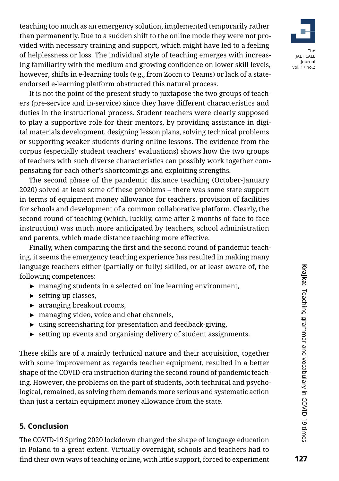

It is not the point of the present study to juxtapose the two groups of teachers (pre-service and in-service) since they have different characteristics and duties in the instructional process. Student teachers were clearly supposed to play a supportive role for their mentors, by providing assistance in digital materials development, designing lesson plans, solving technical problems or supporting weaker students during online lessons. The evidence from the corpus (especially student teachers' evaluations) shows how the two groups of teachers with such diverse characteristics can possibly work together compensating for each other's shortcomings and exploiting strengths.

The second phase of the pandemic distance teaching (October-January 2020) solved at least some of these problems – there was some state support in terms of equipment money allowance for teachers, provision of facilities for schools and development of a common collaborative platform. Clearly, the second round of teaching (which, luckily, came after 2 months of face-to-face instruction) was much more anticipated by teachers, school administration and parents, which made distance teaching more effective.

Finally, when comparing the first and the second round of pandemic teaching, it seems the emergency teaching experience has resulted in making many language teachers either (partially or fully) skilled, or at least aware of, the following competences:

- ► managing students in a selected online learning environment,
- ► setting up classes,
- ► arranging breakout rooms,
- ► managing video, voice and chat channels,
- ► using screensharing for presentation and feedback-giving,
- $\triangleright$  setting up events and organising delivery of student assignments.

These skills are of a mainly technical nature and their acquisition, together with some improvement as regards teacher equipment, resulted in a better shape of the COVID-era instruction during the second round of pandemic teaching. However, the problems on the part of students, both technical and psychological, remained, as solving them demands more serious and systematic action than just a certain equipment money allowance from the state.

# **[5. Conclusion](https://www.classcraft.com/)**

The COVID-19 Spring 2020 lockdown changed the shape of language education in Poland to a great extent. Virtually overnight, schools and teachers had to find their own ways of teaching online, with little support, forced to experiment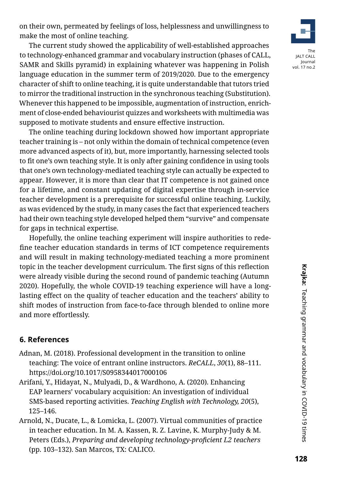The current study showed the applicability of well-established approaches to technology-enhanced grammar and vocabulary instruction (phases of CALL, SAMR and Skills pyramid) in explaining whatever was happening in Polish language education in the summer term of 2019/2020. Due to the emergency character of shift to online teaching, it is quite understandable that tutors tried to mirror the traditional instruction in the synchronous teaching (Substitution). Whenever this happened to be impossible, augmentation of instruction, enrichment of close-ended behaviourist quizzes and worksheets with multimedia was supposed to motivate students and ensure effective instruction.

The online teaching during lockdown showed how important appropriate teacher training is – not only within the domain of technical competence (even more advanced aspects of it), but, more importantly, harnessing selected tools to fit one's own teaching style. It is only after gaining confidence in using tools that one's own technology-mediated teaching style can actually be expected to appear. However, it is more than clear that IT competence is not gained once for a lifetime, and constant updating of digital expertise through in-service teacher development is a prerequisite for successful online teaching. Luckily, as was evidenced by the study, in many cases the fact that experienced teachers had their own teaching style developed helped them "survive" and compensate for gaps in technical expertise.

Hopefully, the online teaching experiment will inspire authorities to redefine teacher education standards in terms of ICT competence requirements and will result in making technology-mediated teaching a more prominent topic in the teacher development curriculum. The first signs of this reflection were already visible during the second round of pandemic teaching (Autumn 2020). Hopefully, the whole COVID-19 teaching experience will have a longlasting effect on the quality of teacher education and the teachers' ability to shift modes of instruction from face-to-face through blended to online more and more effortlessly.

# **6. References**

- Adnan, M. (2018). Professional development in the transition to online teaching: The voice of entrant online instructors. *ReCALL*, *30*(1), 88–111. <https://doi.org/10.1017/S0958344017000106>
- Arifani, Y., Hidayat, N., Mulyadi, D., & Wardhono, A. (2020). Enhancing EAP learners' vocabulary acquisition: An investigation of individual SMS-based reporting activities. *Teaching English with Technology, 20*(5), 125–146.
- Arnold, N., Ducate, L., & Lomicka, L. (2007). Virtual communities of practice in teacher education. In M. A. Kassen, R. Z. Lavine, K. Murphy-Judy & M. Peters (Eds.), *Preparing and developing technology-proficient L2 teachers*  (pp. 103–132). San Marcos, TX: CALICO.

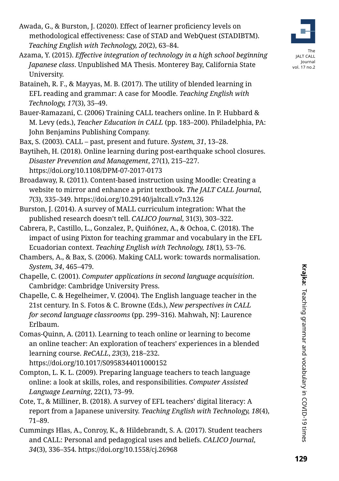- Awada, G., & Burston, J. (2020). Effect of learner proficiency levels on methodological effectiveness: Case of STAD and WebQuest (STADIBTM). *Teaching English with Technology, 20*(2), 63–84.
- Azama, Y. (2015). *Effective integration of technology in a high school beginning Japanese class*. Unpublished MA Thesis. Monterey Bay, California State University.
- Bataineh, R. F., & Mayyas, M. B. (2017). The utility of blended learning in EFL reading and grammar: A case for Moodle. *Teaching English with Technology, 17*(3), 35–49.
- Bauer-Ramazani, C. (2006) Training CALL teachers online. In P. Hubbard & M. Levy (eds.), *Teacher Education in CALL* (pp. 183–200). Philadelphia, PA: John Benjamins Publishing Company.

Bax, S. (2003). CALL – past, present and future. *System, 31*, 13–28.

Baytiheh, H. (2018). Online learning during post-earthquake school closures. *Disaster Prevention and Management*, 27(1), 215–227. <https://doi.org/10.1108/DPM-07-2017-0173>

Broadaway, R. (2011). Content-based instruction using Moodle: Creating a website to mirror and enhance a print textbook. *The JALT CALL Journal*, *7*(3), 335–349.<https://doi.org/10.29140/jaltcall.v7n3.126>

Burston, J. (2014). A survey of MALL curriculum integration: What the published research doesn't tell. *CALICO Journal*, 31(3), 303–322.

- Cabrera, P., Castillo, L., Gonzalez, P., Quiñónez, A., & Ochoa, C. (2018). The impact of using Pixton for teaching grammar and vocabulary in the EFL Ecuadorian context. *Teaching English with Technology, 18*(1), 53–76.
- Chambers, A., & Bax, S. (2006). Making CALL work: towards normalisation. *System, 34*, 465–479.
- Chapelle, C. (2001). *Computer applications in second language acquisition*. Cambridge: Cambridge University Press.
- Chapelle, C. & Hegelheimer, V. (2004). The English language teacher in the 21st century. In S. Fotos & C. Browne (Eds.), *New perspectives in CALL for second language classrooms* (pp. 299–316). Mahwah, NJ: Laurence Erlbaum.
- Comas-Quinn, A. (2011). Learning to teach online or learning to become an online teacher: An exploration of teachers' experiences in a blended learning course. *ReCALL*, *23*(3), 218–232.

<https://doi.org/10.1017/S0958344011000152>

- Compton, L. K. L. (2009). Preparing language teachers to teach language online: a look at skills, roles, and responsibilities. *Computer Assisted Language Learning*, 22(1), 73–99.
- Cote, T., & Milliner, B. (2018). A survey of EFL teachers' digital literacy: A report from a Japanese university. *Teaching English with Technology, 18*(4), 71–89.
- Cummings Hlas, A., Conroy, K., & Hildebrandt, S. A. (2017). Student teachers and CALL: Personal and pedagogical uses and beliefs. *CALICO Journal*, *34*(3), 336–354.<https://doi.org/10.1558/cj.26968>



The JALT CALL Journal vol. 17 no.2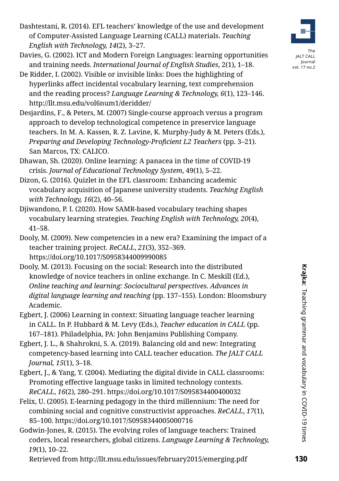- Dashtestani, R. (2014). EFL teachers' knowledge of the use and development of Computer-Assisted Language Learning (CALL) materials. *Teaching English with Technology, 14*(2), 3–27.
- Davies, G. (2002). ICT and Modern Foreign Languages: learning opportunities and training needs. *International Journal of English Studies*, 2(1), 1–18.
- De Ridder, I. (2002). Visible or invisible links: Does the highlighting of hyperlinks affect incidental vocabulary learning, text comprehension and the reading process? *Language Learning & Technology, 6*(1), 123–146. <http://llt.msu.edu/vol6num1/deridder/>
- Desjardins, F., & Peters, M. (2007) Single-course approach versus a program approach to develop technological competence in preservice language teachers. In M. A. Kassen, R. Z. Lavine, K. Murphy-Judy & M. Peters (Eds.), *Preparing and Developing Technology-Proficient L2 Teachers (pp. 3–21).* San Marcos, TX: CALICO.
- Dhawan, Sh. (2020). Online learning: A panacea in the time of COVID-19 crisis. *Journal of Educational Technology System*, 49(1), 5–22.
- Dizon, G. (2016). Quizlet in the EFL classroom: Enhancing academic vocabulary acquisition of Japanese university students. *Teaching English with Technology, 16*(2), 40–56.
- Djiwandono, P. I. (2020). How SAMR-based vocabulary teaching shapes vocabulary learning strategies. *Teaching English with Technology, 20*(4), 41–58.
- Dooly, M. (2009). New competencies in a new era? Examining the impact of a teacher training project. *ReCALL*, *21*(3), 352–369. <https://doi.org/10.1017/S0958344009990085>
- Dooly, M. (2013). Focusing on the social: Research into the distributed knowledge of novice teachers in online exchange. In C. Meskill (Ed.), *Online teaching and learning: Sociocultural perspectives. Advances in digital language learning and teaching* (pp. 137–155). London: Bloomsbury Academic.
- Egbert, J. (2006) Learning in context: Situating language teacher learning in CALL. In P. Hubbard & M. Levy (Eds.), *Teacher education in CALL* (pp. 167–181). Philadelphia, PA: John Benjamins Publishing Company.
- Egbert, J. L., & Shahrokni, S. A. (2019). Balancing old and new: Integrating competency-based learning into CALL teacher education. *The JALT CALL Journal, 15*(1), 3–18.
- Egbert, J., & Yang, Y. (2004). Mediating the digital divide in CALL classrooms: Promoting effective language tasks in limited technology contexts. *ReCALL*, *16*(2), 280–291. <https://doi.org/10.1017/S095834400400032>
- Felix, U. (2005). E-learning pedagogy in the third millennium: The need for combining social and cognitive constructivist approaches. *ReCALL*, *17*(1), 85–100.<https://doi.org/10.1017/S0958344005000716>
- Godwin-Jones, R. (2015). The evolving roles of language teachers: Trained coders, local researchers, global citizens. *Language Learning & Technology, 19*(1), 10–22.

Retrieved from <http://llt.msu.edu/issues/february2015/emerging.pdf>

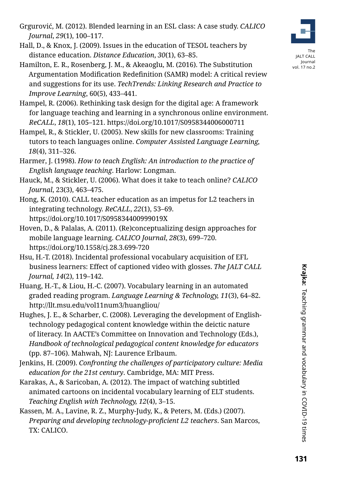- Grgurović, M. (2012). Blended learning in an ESL class: A case study. *CALICO Journal*, *29*(1), 100–117.
- Hall, D., & Knox, J. (2009). Issues in the education of TESOL teachers by distance education. *Distance Education*, *30*(1), 63–85.
- Hamilton, E. R., Rosenberg, J. M., & Akeaoglu, M. (2016). The Substitution Argumentation Modification Redefinition (SAMR) model: A critical review and suggestions for its use. *TechTrends: Linking Research and Practice to Improve Learning*, 60(5), 433–441.
- Hampel, R. (2006). Rethinking task design for the digital age: A framework for language teaching and learning in a synchronous online environment. *ReCALL*, *18*(1), 105–121. <https://doi.org/10.1017/S0958344006000711>
- Hampel, R., & Stickler, U. (2005). New skills for new classrooms: Training tutors to teach languages online. *Computer Assisted Language Learning, 18*(4), 311–326.
- Harmer, J. (1998). *How to teach English: An introduction to the practice of English language teaching*. Harlow: Longman.
- Hauck, M., & Stickler, U. (2006). What does it take to teach online? *CALICO Journal*, 23(3), 463–475.
- Hong, K. (2010). CALL teacher education as an impetus for L2 teachers in integrating technology. *ReCALL*, *22*(1), 53–69. <https://doi.org/10.1017/S095834400999019X>
- Hoven, D., & Palalas, A. (2011). (Re)conceptualizing design approaches for mobile language learning. *CALICO Journal*, *28*(3), 699–720. <https://doi.org/10.1558/cj.28.3.699-720>
- Hsu, H.-T. (2018). Incidental professional vocabulary acquisition of EFL business learners: Effect of captioned video with glosses. *The JALT CALL Journal, 14*(2), 119–142.
- Huang, H.-T., & Liou, H.-C. (2007). Vocabulary learning in an automated graded reading program. *Language Learning & Technology, 11*(3), 64–82. <http://llt.msu.edu/vol11num3/huangliou/>
- Hughes, J. E., & Scharber, C. (2008). Leveraging the development of Englishtechnology pedagogical content knowledge within the deictic nature of literacy. In AACTE's Committee on Innovation and Technology (Eds.), *Handbook of technological pedagogical content knowledge for educators*  (pp. 87–106). Mahwah, NJ: Laurence Erlbaum.
- Jenkins, H. (2009). *Confronting the challenges of participatory culture: Media education for the 21st century*. Cambridge, MA: MIT Press.
- Karakas, A., & Saricoban, A. (2012). The impact of watching subtitled animated cartoons on incidental vocabulary learning of ELT students. *Teaching English with Technology, 12*(4), 3–15.
- Kassen, M. A., Lavine, R. Z., Murphy-Judy, K., & Peters, M. (Eds.) (2007). *Preparing and developing technology-proficient L2 teachers*. San Marcos, TX: CALICO.



Journal vol. 17 no.2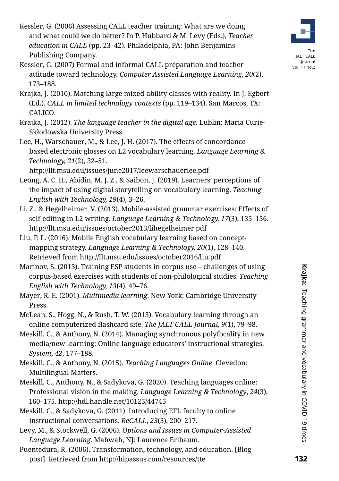- Kessler, G. (2006) Assessing CALL teacher training: What are we doing and what could we do better? In P. Hubbard & M. Levy (Eds.), *Teacher education in CALL* (pp. 23–42). Philadelphia, PA: John Benjamins Publishing Company.
- Kessler, G. (2007) Formal and informal CALL preparation and teacher attitude toward technology. *Computer Assisted Language Learning*, *20*(2), 173–188.
- Krajka, J. (2010). Matching large mixed-ability classes with reality. In J. Egbert (Ed.), *CALL in limited technology contexts* (pp. 119–134). San Marcos, TX: CALICO.
- Krajka, J. (2012). *The language teacher in the digital age.* Lublin: Maria Curie-Skłodowska University Press.
- Lee, H., Warschauer, M., & Lee, J. H. (2017). The effects of concordancebased electronic glosses on L2 vocabulary learning. *Language Learning & Technology, 21*(2), 32–51.

<http://llt.msu.edu/issues/june2017/leewarschauerlee.pdf>

- Leong, A. C. H., Abidin, M. J. Z., & Saibon, J. (2019). Learners' perceptions of the impact of using digital storytelling on vocabulary learning. *Teaching English with Technology, 19*(4), 3–26.
- Li, Z., & Hegelheimer, V. (2013). Mobile-assisted grammar exercises: Effects of self-editing in L2 writing. *Language Learning & Technology, 17*(3), 135–156. <http://llt.msu.edu/issues/october2013/lihegelheimer.pdf>
- Liu, P. L. (2016). Mobile English vocabulary learning based on conceptmapping strategy. *Language Learning & Technology, 20*(1), 128–140. Retrieved from <http://llt.msu.edu/issues/october2016/liu.pdf>
- Marinov, S. (2013). Training ESP students in corpus use challenges of using corpus-based exercises with students of non-philological studies. *Teaching English with Technology, 13*(4), 49–76.
- Mayer, R. E. (2001). *Multimedia learning*. New York: Cambridge University Press.
- McLean, S., Hogg, N., & Rush, T. W. (2013). Vocabulary learning through an online computerized flashcard site. *The JALT CALL Journal, 9*(1), 79–98.
- Meskill, C., & Anthony, N. (2014). Managing synchronous polyfocality in new media/new learning: Online language educators' instructional strategies. *System*, *42*, 177–188.
- Meskill, C., & Anthony, N. (2015). *Teaching Languages Online*. Clevedon: Multilingual Matters.
- Meskill, C., Anthony, N., & Sadykova, G. (2020). Teaching languages online: Professional vision in the making. *Language Learning & Technology*, *24*(3), 160–175. <http://hdl.handle.net/10125/44745>
- Meskill, C., & Sadykova, G. (2011). Introducing EFL faculty to online instructional conversations. *ReCALL*, *23*(3), 200–217.
- Levy, M., & Stockwell, G. (2006). *Options and Issues in Computer-Assisted Language Learning*. Mahwah, NJ: Laurence Erlbaum.
- Puentedura, R. (2006). Transformation, technology, and education. [Blog post]. Retrieved from<http://hipassus.com/resources/tte>



Journal vol. 17 no.2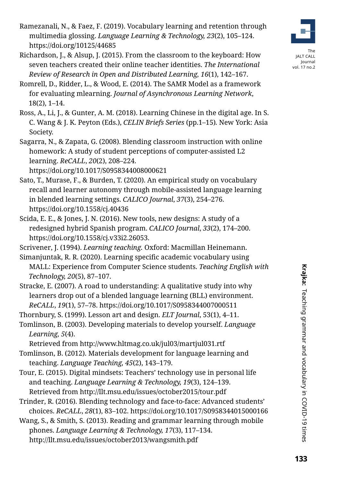- Ramezanali, N., & Faez, F. (2019). Vocabulary learning and retention through multimedia glossing. *Language Learning & Technology, 23*(2), 105–124. <https://doi.org/10125/44685>
- Richardson, J., & Alsup, J. (2015). From the classroom to the keyboard: How seven teachers created their online teacher identities. *The International Review of Research in Open and Distributed Learning, 16*(1), 142–167.



The JALT CALL Journal vol. 17 no.2

- Romrell, D., Ridder, L., & Wood, E. (2014). The SAMR Model as a framework for evaluating mlearning. *Journal of Asynchronous Learning Network*, 18(2), 1–14.
- Ross, A., Li, J., & Gunter, A. M. (2018). Learning Chinese in the digital age. In S. C. Wang & J. K. Peyton (Eds.), *CELIN Briefs Series* (pp.1–15)*.* New York: Asia Society.
- Sagarra, N., & Zapata, G. (2008). Blending classroom instruction with online homework: A study of student perceptions of computer-assisted L2 learning. *ReCALL*, *20*(2), 208–224.

<https://doi.org/10.1017/S0958344008000621>

- Sato, T., Murase, F., & Burden, T. (2020). An empirical study on vocabulary recall and learner autonomy through mobile-assisted language learning in blended learning settings. *CALICO Journal*, *37*(3), 254–276. <https://doi.org/10.1558/cj.40436>
- Scida, E. E., & Jones, J. N. (2016). New tools, new designs: A study of a redesigned hybrid Spanish program. *CALICO Journal*, *33*(2), 174–200. [https://doi.org/10.1558/cj.v33i2.26053.](https://doi.org/10.1558/cj.v33i2.26053)

Scrivener, J. (1994). *Learning teaching.* Oxford: Macmillan Heinemann.

- Simanjuntak, R. R. (2020). Learning specific academic vocabulary using MALL: Experience from Computer Science students. *Teaching English with Technology, 20*(5), 87–107.
- Stracke, E. (2007). A road to understanding: A qualitative study into why learners drop out of a blended language learning (BLL) environment. *ReCALL*, *19*(1), 57–78. <https://doi.org/10.1017/S0958344007000511>
- Thornbury, S. (1999). Lesson art and design. *ELT Journal*, 53(1), 4–11.
- Tomlinson, B. (2003). Developing materials to develop yourself. *Language Learning, 5*(4).

Retrieved from <http://www.hltmag.co.uk/jul03/martjul031.rtf>

- Tomlinson, B. (2012). Materials development for language learning and teaching. *Language Teaching, 45*(2), 143–179.
- Tour, E. (2015). Digital mindsets: Teachers' technology use in personal life and teaching. *Language Learning & Technology, 19*(3), 124–139. Retrieved from <http://llt.msu.edu/issues/october2015/tour.pdf>
- Trinder, R. (2016). Blending technology and face-to-face: Advanced students' choices. *ReCALL*, *28*(1), 83–102.<https://doi.org/10.1017/S0958344015000166>
- Wang, S., & Smith, S. (2013). Reading and grammar learning through mobile phones. *Language Learning & Technology, 17*(3), 117–134. <http://llt.msu.edu/issues/october2013/wangsmith.pdf>